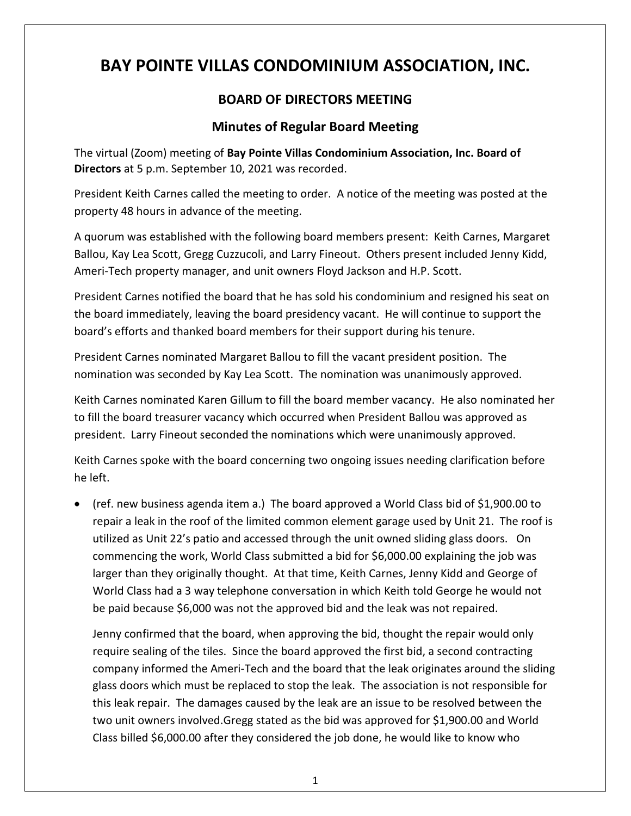# **BAY POINTE VILLAS CONDOMINIUM ASSOCIATION, INC.**

## **BOARD OF DIRECTORS MEETING**

## **Minutes of Regular Board Meeting**

The virtual (Zoom) meeting of **Bay Pointe Villas Condominium Association, Inc. Board of Directors** at 5 p.m. September 10, 2021 was recorded.

President Keith Carnes called the meeting to order. A notice of the meeting was posted at the property 48 hours in advance of the meeting.

A quorum was established with the following board members present: Keith Carnes, Margaret Ballou, Kay Lea Scott, Gregg Cuzzucoli, and Larry Fineout. Others present included Jenny Kidd, Ameri-Tech property manager, and unit owners Floyd Jackson and H.P. Scott.

President Carnes notified the board that he has sold his condominium and resigned his seat on the board immediately, leaving the board presidency vacant. He will continue to support the board's efforts and thanked board members for their support during his tenure.

President Carnes nominated Margaret Ballou to fill the vacant president position. The nomination was seconded by Kay Lea Scott. The nomination was unanimously approved.

Keith Carnes nominated Karen Gillum to fill the board member vacancy. He also nominated her to fill the board treasurer vacancy which occurred when President Ballou was approved as president. Larry Fineout seconded the nominations which were unanimously approved.

Keith Carnes spoke with the board concerning two ongoing issues needing clarification before he left.

• (ref. new business agenda item a.) The board approved a World Class bid of \$1,900.00 to repair a leak in the roof of the limited common element garage used by Unit 21. The roof is utilized as Unit 22's patio and accessed through the unit owned sliding glass doors. On commencing the work, World Class submitted a bid for \$6,000.00 explaining the job was larger than they originally thought. At that time, Keith Carnes, Jenny Kidd and George of World Class had a 3 way telephone conversation in which Keith told George he would not be paid because \$6,000 was not the approved bid and the leak was not repaired.

Jenny confirmed that the board, when approving the bid, thought the repair would only require sealing of the tiles. Since the board approved the first bid, a second contracting company informed the Ameri-Tech and the board that the leak originates around the sliding glass doors which must be replaced to stop the leak. The association is not responsible for this leak repair. The damages caused by the leak are an issue to be resolved between the two unit owners involved.Gregg stated as the bid was approved for \$1,900.00 and World Class billed \$6,000.00 after they considered the job done, he would like to know who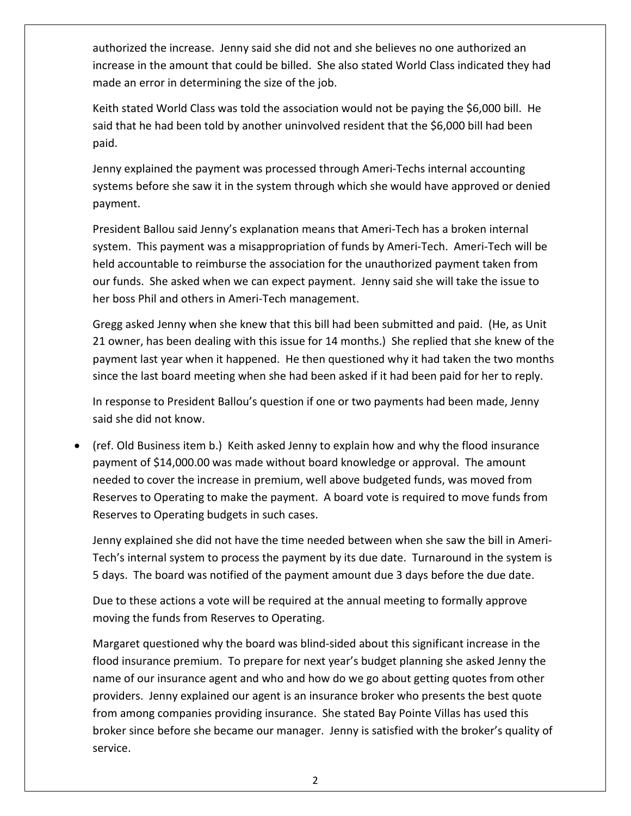authorized the increase. Jenny said she did not and she believes no one authorized an increase in the amount that could be billed. She also stated World Class indicated they had made an error in determining the size of the job.

Keith stated World Class was told the association would not be paying the \$6,000 bill. He said that he had been told by another uninvolved resident that the \$6,000 bill had been paid.

Jenny explained the payment was processed through Ameri-Techs internal accounting systems before she saw it in the system through which she would have approved or denied payment.

President Ballou said Jenny's explanation means that Ameri-Tech has a broken internal system. This payment was a misappropriation of funds by Ameri-Tech. Ameri-Tech will be held accountable to reimburse the association for the unauthorized payment taken from our funds. She asked when we can expect payment. Jenny said she will take the issue to her boss Phil and others in Ameri-Tech management.

Gregg asked Jenny when she knew that this bill had been submitted and paid. (He, as Unit 21 owner, has been dealing with this issue for 14 months.) She replied that she knew of the payment last year when it happened. He then questioned why it had taken the two months since the last board meeting when she had been asked if it had been paid for her to reply.

In response to President Ballou's question if one or two payments had been made, Jenny said she did not know.

• (ref. Old Business item b.) Keith asked Jenny to explain how and why the flood insurance payment of \$14,000.00 was made without board knowledge or approval. The amount needed to cover the increase in premium, well above budgeted funds, was moved from Reserves to Operating to make the payment. A board vote is required to move funds from Reserves to Operating budgets in such cases.

Jenny explained she did not have the time needed between when she saw the bill in Ameri-Tech's internal system to process the payment by its due date. Turnaround in the system is 5 days. The board was notified of the payment amount due 3 days before the due date.

Due to these actions a vote will be required at the annual meeting to formally approve moving the funds from Reserves to Operating.

Margaret questioned why the board was blind-sided about this significant increase in the flood insurance premium. To prepare for next year's budget planning she asked Jenny the name of our insurance agent and who and how do we go about getting quotes from other providers. Jenny explained our agent is an insurance broker who presents the best quote from among companies providing insurance. She stated Bay Pointe Villas has used this broker since before she became our manager. Jenny is satisfied with the broker's quality of service.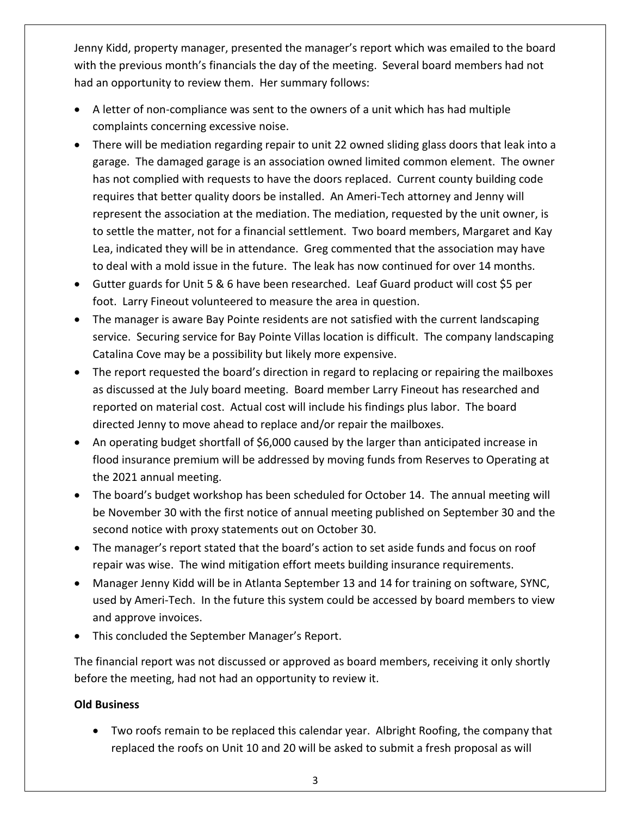Jenny Kidd, property manager, presented the manager's report which was emailed to the board with the previous month's financials the day of the meeting. Several board members had not had an opportunity to review them. Her summary follows:

- A letter of non-compliance was sent to the owners of a unit which has had multiple complaints concerning excessive noise.
- There will be mediation regarding repair to unit 22 owned sliding glass doors that leak into a garage. The damaged garage is an association owned limited common element. The owner has not complied with requests to have the doors replaced. Current county building code requires that better quality doors be installed. An Ameri-Tech attorney and Jenny will represent the association at the mediation. The mediation, requested by the unit owner, is to settle the matter, not for a financial settlement. Two board members, Margaret and Kay Lea, indicated they will be in attendance. Greg commented that the association may have to deal with a mold issue in the future. The leak has now continued for over 14 months.
- Gutter guards for Unit 5 & 6 have been researched. Leaf Guard product will cost \$5 per foot. Larry Fineout volunteered to measure the area in question.
- The manager is aware Bay Pointe residents are not satisfied with the current landscaping service. Securing service for Bay Pointe Villas location is difficult. The company landscaping Catalina Cove may be a possibility but likely more expensive.
- The report requested the board's direction in regard to replacing or repairing the mailboxes as discussed at the July board meeting. Board member Larry Fineout has researched and reported on material cost. Actual cost will include his findings plus labor. The board directed Jenny to move ahead to replace and/or repair the mailboxes.
- An operating budget shortfall of \$6,000 caused by the larger than anticipated increase in flood insurance premium will be addressed by moving funds from Reserves to Operating at the 2021 annual meeting.
- The board's budget workshop has been scheduled for October 14. The annual meeting will be November 30 with the first notice of annual meeting published on September 30 and the second notice with proxy statements out on October 30.
- The manager's report stated that the board's action to set aside funds and focus on roof repair was wise. The wind mitigation effort meets building insurance requirements.
- Manager Jenny Kidd will be in Atlanta September 13 and 14 for training on software, SYNC, used by Ameri-Tech. In the future this system could be accessed by board members to view and approve invoices.
- This concluded the September Manager's Report.

The financial report was not discussed or approved as board members, receiving it only shortly before the meeting, had not had an opportunity to review it.

### **Old Business**

• Two roofs remain to be replaced this calendar year. Albright Roofing, the company that replaced the roofs on Unit 10 and 20 will be asked to submit a fresh proposal as will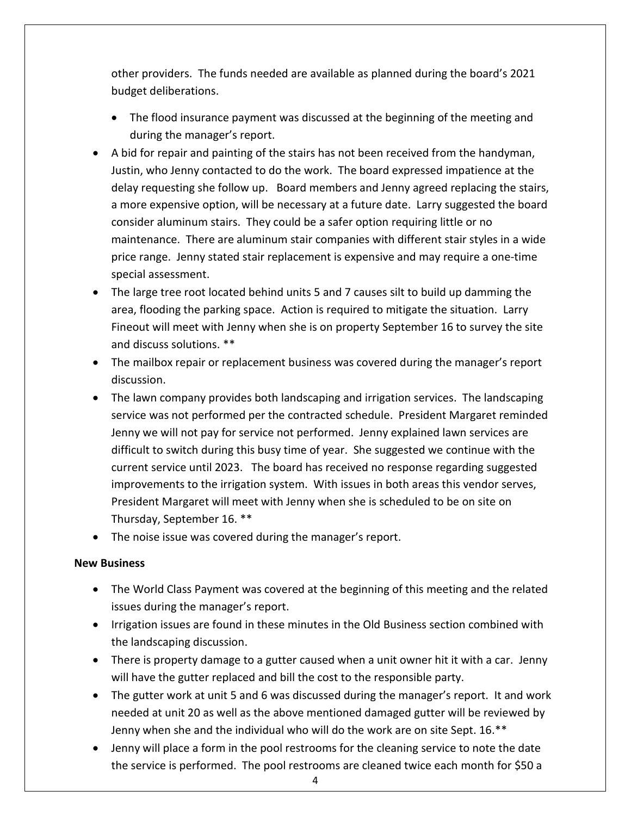other providers. The funds needed are available as planned during the board's 2021 budget deliberations.

- The flood insurance payment was discussed at the beginning of the meeting and during the manager's report.
- A bid for repair and painting of the stairs has not been received from the handyman, Justin, who Jenny contacted to do the work. The board expressed impatience at the delay requesting she follow up. Board members and Jenny agreed replacing the stairs, a more expensive option, will be necessary at a future date. Larry suggested the board consider aluminum stairs. They could be a safer option requiring little or no maintenance. There are aluminum stair companies with different stair styles in a wide price range. Jenny stated stair replacement is expensive and may require a one-time special assessment.
- The large tree root located behind units 5 and 7 causes silt to build up damming the area, flooding the parking space. Action is required to mitigate the situation. Larry Fineout will meet with Jenny when she is on property September 16 to survey the site and discuss solutions. \*\*
- The mailbox repair or replacement business was covered during the manager's report discussion.
- The lawn company provides both landscaping and irrigation services. The landscaping service was not performed per the contracted schedule. President Margaret reminded Jenny we will not pay for service not performed. Jenny explained lawn services are difficult to switch during this busy time of year. She suggested we continue with the current service until 2023. The board has received no response regarding suggested improvements to the irrigation system. With issues in both areas this vendor serves, President Margaret will meet with Jenny when she is scheduled to be on site on Thursday, September 16. \*\*
- The noise issue was covered during the manager's report.

### **New Business**

- The World Class Payment was covered at the beginning of this meeting and the related issues during the manager's report.
- Irrigation issues are found in these minutes in the Old Business section combined with the landscaping discussion.
- There is property damage to a gutter caused when a unit owner hit it with a car. Jenny will have the gutter replaced and bill the cost to the responsible party.
- The gutter work at unit 5 and 6 was discussed during the manager's report. It and work needed at unit 20 as well as the above mentioned damaged gutter will be reviewed by Jenny when she and the individual who will do the work are on site Sept. 16.\*\*
- Jenny will place a form in the pool restrooms for the cleaning service to note the date the service is performed. The pool restrooms are cleaned twice each month for \$50 a